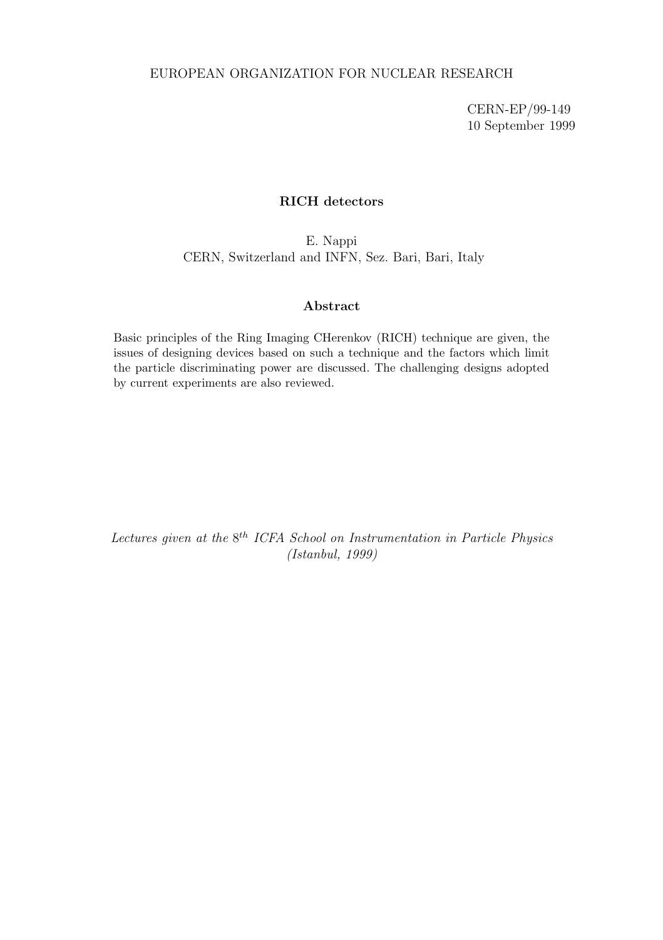# EUROPEAN ORGANIZATION FOR NUCLEAR RESEARCH

CERN-EP/99-149 10 September 1999

## *RICH detectors*

E. Nappi CERN, Switzerland and INFN, Sez. Bari, Bari, Italy

## *Abstract*

Basic principles of the Ring Imaging CHerenkov (RICH) technique are given, the issues of designing devices based on such a technique and the factors which limit the particle discriminating power are discussed. The challenging designs adopted by current experiments are also reviewed.

Lectures given at the 8*th* ICFA School on Instrumentation in Particle Physics (Istanbul, 1999)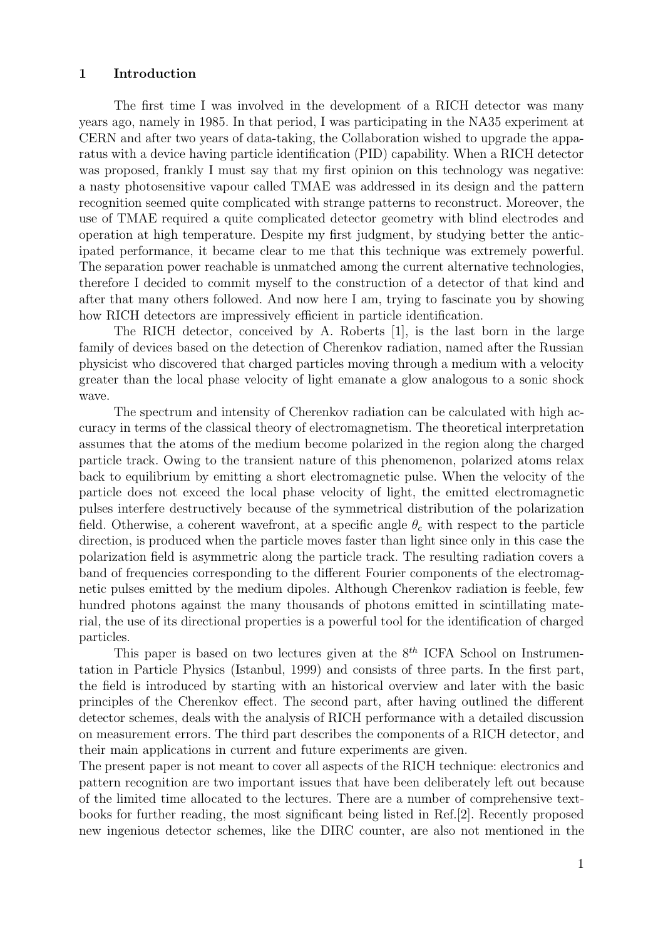## *1 Introduction*

The first time I was involved in the development of a RICH detector was many years ago, namely in 1985. In that period, I was participating in the NA35 experiment at CERN and after two years of data-taking, the Collaboration wished to upgrade the apparatus with a device having particle identification (PID) capability. When a RICH detector was proposed, frankly I must say that my first opinion on this technology was negative: a nasty photosensitive vapour called TMAE was addressed in its design and the pattern recognition seemed quite complicated with strange patterns to reconstruct. Moreover, the use of TMAE required a quite complicated detector geometry with blind electrodes and operation at high temperature. Despite my first judgment, by studying better the anticipated performance, it became clear to me that this technique was extremely powerful. The separation power reachable is unmatched among the current alternative technologies, therefore I decided to commit myself to the construction of a detector of that kind and after that many others followed. And now here I am, trying to fascinate you by showing how RICH detectors are impressively efficient in particle identification.

The RICH detector, conceived by A. Roberts [1], is the last born in the large family of devices based on the detection of Cherenkov radiation, named after the Russian physicist who discovered that charged particles moving through a medium with a velocity greater than the local phase velocity of light emanate a glow analogous to a sonic shock wave.

The spectrum and intensity of Cherenkov radiation can be calculated with high accuracy in terms of the classical theory of electromagnetism. The theoretical interpretation assumes that the atoms of the medium become polarized in the region along the charged particle track. Owing to the transient nature of this phenomenon, polarized atoms relax back to equilibrium by emitting a short electromagnetic pulse. When the velocity of the particle does not exceed the local phase velocity of light, the emitted electromagnetic pulses interfere destructively because of the symmetrical distribution of the polarization field. Otherwise, a coherent wavefront, at a specific angle  $\theta_c$  with respect to the particle direction, is produced when the particle moves faster than light since only in this case the polarization field is asymmetric along the particle track. The resulting radiation covers a band of frequencies corresponding to the different Fourier components of the electromagnetic pulses emitted by the medium dipoles. Although Cherenkov radiation is feeble, few hundred photons against the many thousands of photons emitted in scintillating material, the use of its directional properties is a powerful tool for the identification of charged particles.

This paper is based on two lectures given at the 8*th* ICFA School on Instrumentation in Particle Physics (Istanbul, 1999) and consists of three parts. In the first part, the field is introduced by starting with an historical overview and later with the basic principles of the Cherenkov effect. The second part, after having outlined the different detector schemes, deals with the analysis of RICH performance with a detailed discussion on measurement errors. The third part describes the components of a RICH detector, and their main applications in current and future experiments are given.

The present paper is not meant to cover all aspects of the RICH technique: electronics and pattern recognition are two important issues that have been deliberately left out because of the limited time allocated to the lectures. There are a number of comprehensive textbooks for further reading, the most significant being listed in Ref.[2]. Recently proposed new ingenious detector schemes, like the DIRC counter, are also not mentioned in the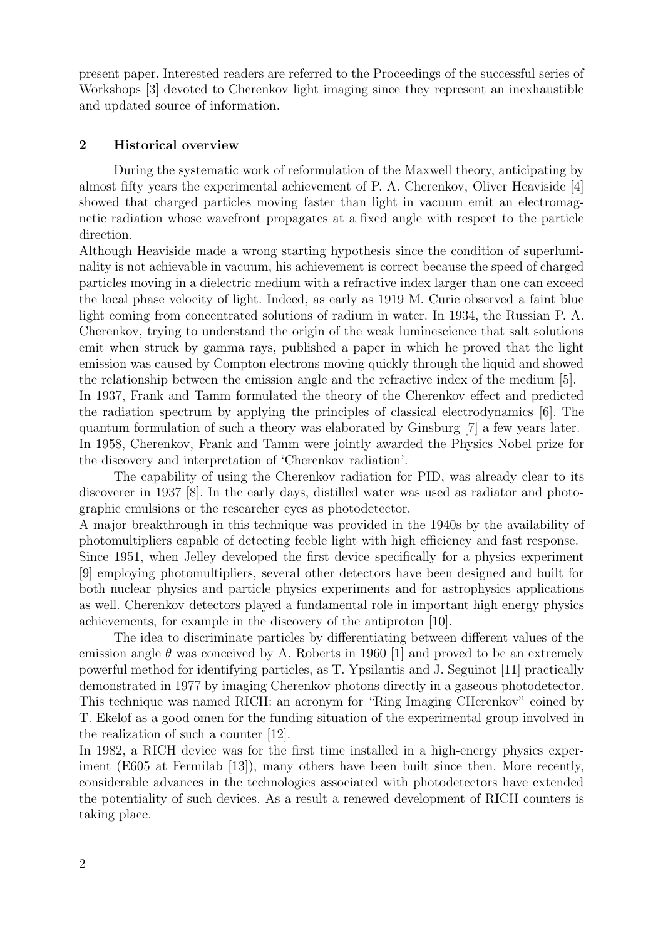present paper. Interested readers are referred to the Proceedings of the successful series of Workshops [3] devoted to Cherenkov light imaging since they represent an inexhaustible and updated source of information.

## *2 Historical overview*

During the systematic work of reformulation of the Maxwell theory, anticipating by almost fifty years the experimental achievement of P. A. Cherenkov, Oliver Heaviside [4] showed that charged particles moving faster than light in vacuum emit an electromagnetic radiation whose wavefront propagates at a fixed angle with respect to the particle direction.

Although Heaviside made a wrong starting hypothesis since the condition of superluminality is not achievable in vacuum, his achievement is correct because the speed of charged particles moving in a dielectric medium with a refractive index larger than one can exceed the local phase velocity of light. Indeed, as early as 1919 M. Curie observed a faint blue light coming from concentrated solutions of radium in water. In 1934, the Russian P. A. Cherenkov, trying to understand the origin of the weak luminescience that salt solutions emit when struck by gamma rays, published a paper in which he proved that the light emission was caused by Compton electrons moving quickly through the liquid and showed the relationship between the emission angle and the refractive index of the medium [5].

In 1937, Frank and Tamm formulated the theory of the Cherenkov effect and predicted the radiation spectrum by applying the principles of classical electrodynamics [6]. The quantum formulation of such a theory was elaborated by Ginsburg [7] a few years later. In 1958, Cherenkov, Frank and Tamm were jointly awarded the Physics Nobel prize for the discovery and interpretation of 'Cherenkov radiation'.

The capability of using the Cherenkov radiation for PID, was already clear to its discoverer in 1937 [8]. In the early days, distilled water was used as radiator and photographic emulsions or the researcher eyes as photodetector.

A major breakthrough in this technique was provided in the 1940s by the availability of photomultipliers capable of detecting feeble light with high efficiency and fast response. Since 1951, when Jelley developed the first device specifically for a physics experiment [9] employing photomultipliers, several other detectors have been designed and built for both nuclear physics and particle physics experiments and for astrophysics applications as well. Cherenkov detectors played a fundamental role in important high energy physics achievements, for example in the discovery of the antiproton [10].

The idea to discriminate particles by differentiating between different values of the emission angle  $\theta$  was conceived by A. Roberts in 1960 [1] and proved to be an extremely powerful method for identifying particles, as T. Ypsilantis and J. Seguinot [11] practically demonstrated in 1977 by imaging Cherenkov photons directly in a gaseous photodetector. This technique was named RICH: an acronym for "Ring Imaging CHerenkov" coined by T. Ekelof as a good omen for the funding situation of the experimental group involved in the realization of such a counter [12].

In 1982, a RICH device was for the first time installed in a high-energy physics experiment (E605 at Fermilab [13]), many others have been built since then. More recently, considerable advances in the technologies associated with photodetectors have extended the potentiality of such devices. As a result a renewed development of RICH counters is taking place.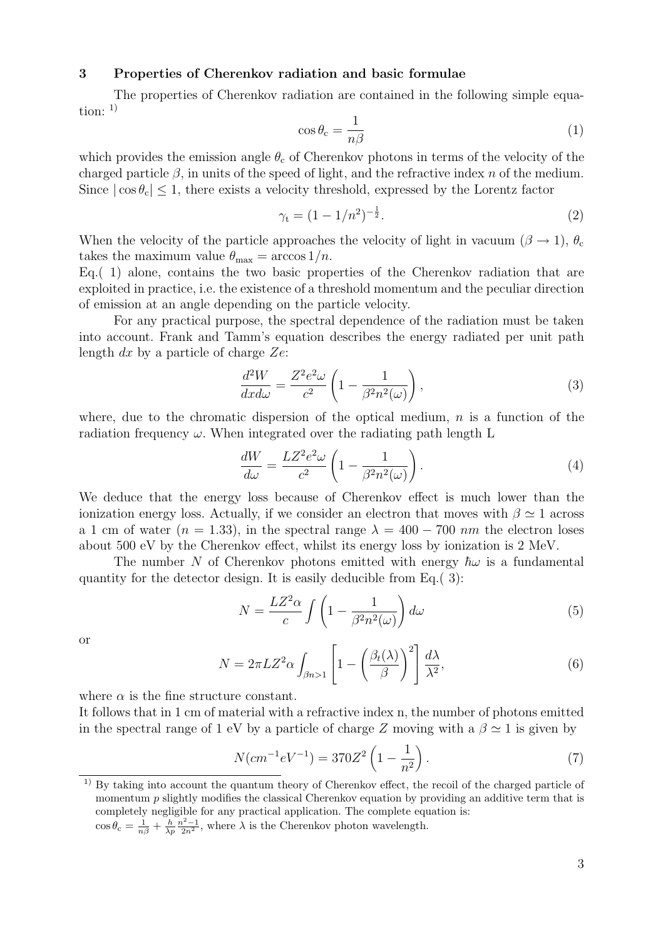## *3 Properties of Cherenkov radiation and basic formulae*

The properties of Cherenkov radiation are contained in the following simple equation:  $1)$ 

$$
\cos \theta_{\rm c} = \frac{1}{n\beta} \tag{1}
$$

which provides the emission angle  $\theta_c$  of Cherenkov photons in terms of the velocity of the charged particle  $\beta$ , in units of the speed of light, and the refractive index n of the medium. Since  $|\cos \theta_c| \leq 1$ , there exists a velocity threshold, expressed by the Lorentz factor

$$
\gamma_t = (1 - 1/n^2)^{-\frac{1}{2}}.\tag{2}
$$

When the velocity of the particle approaches the velocity of light in vacuum ( $\beta \rightarrow 1$ ),  $\theta_c$ takes the maximum value  $\theta_{\text{max}} = \arccos 1/n$ .

Eq.( 1) alone, contains the two basic properties of the Cherenkov radiation that are exploited in practice, i.e. the existence of a threshold momentum and the peculiar direction of emission at an angle depending on the particle velocity.

For any practical purpose, the spectral dependence of the radiation must be taken into account. Frank and Tamm's equation describes the energy radiated per unit path length  $dx$  by a particle of charge  $Ze$ :

$$
\frac{d^2W}{dx d\omega} = \frac{Z^2 e^2 \omega}{c^2} \left( 1 - \frac{1}{\beta^2 n^2(\omega)} \right),\tag{3}
$$

where, due to the chromatic dispersion of the optical medium,  $n$  is a function of the radiation frequency  $\omega$ . When integrated over the radiating path length L

$$
\frac{dW}{d\omega} = \frac{LZ^2e^2\omega}{c^2} \left(1 - \frac{1}{\beta^2 n^2(\omega)}\right). \tag{4}
$$

We deduce that the energy loss because of Cherenkov effect is much lower than the ionization energy loss. Actually, if we consider an electron that moves with  $\beta \simeq 1$  across a 1 cm of water ( $n = 1.33$ ), in the spectral range  $\lambda = 400 - 700$  nm the electron loses about 500 eV by the Cherenkov effect, whilst its energy loss by ionization is 2 MeV.

The number N of Cherenkov photons emitted with energy  $\hbar\omega$  is a fundamental quantity for the detector design. It is easily deducible from Eq.( 3):

$$
N = \frac{LZ^2\alpha}{c} \int \left(1 - \frac{1}{\beta^2 n^2(\omega)}\right) d\omega \tag{5}
$$

or

$$
N = 2\pi L Z^2 \alpha \int_{\beta n > 1} \left[ 1 - \left( \frac{\beta_t(\lambda)}{\beta} \right)^2 \right] \frac{d\lambda}{\lambda^2},\tag{6}
$$

where  $\alpha$  is the fine structure constant.

It follows that in 1 cm of material with a refractive index n, the number of photons emitted in the spectral range of 1 eV by a particle of charge Z moving with a  $\beta \simeq 1$  is given by

$$
N(cm^{-1}eV^{-1}) = 370Z^2 \left(1 - \frac{1}{n^2}\right). \tag{7}
$$

<sup>&</sup>lt;sup>1)</sup> By taking into account the quantum theory of Cherenkov effect, the recoil of the charged particle of momentum  $p$  slightly modifies the classical Cherenkov equation by providing an additive term that is completely negligible for any practical application. The complete equation is:

 $\cos \theta_{\rm c} = \frac{1}{n\beta} + \frac{h}{\lambda p} \frac{n^2-1}{2n^2}$ , where  $\lambda$  is the Cherenkov photon wavelength.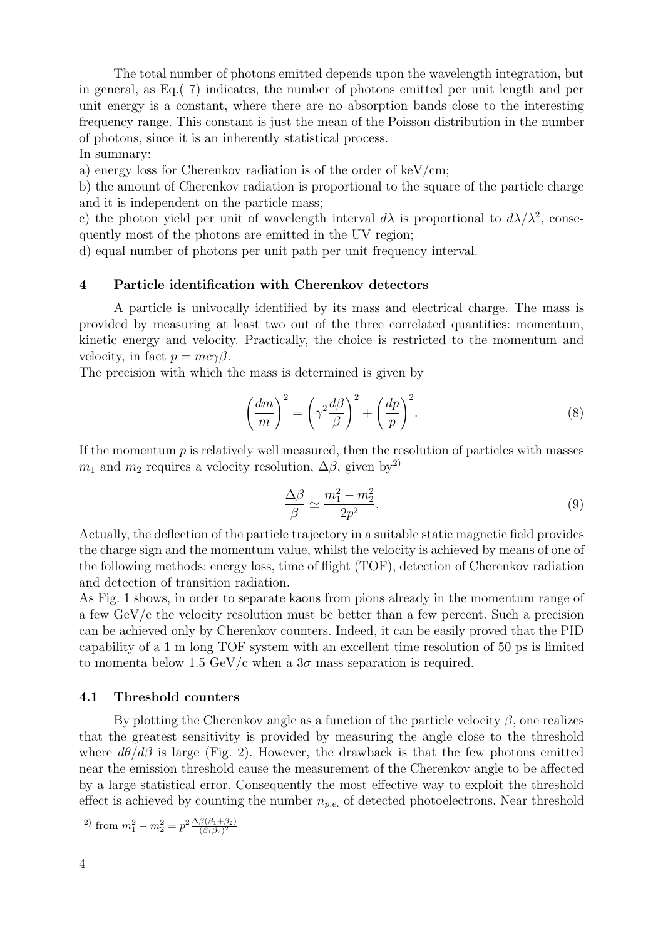The total number of photons emitted depends upon the wavelength integration, but in general, as Eq.( 7) indicates, the number of photons emitted per unit length and per unit energy is a constant, where there are no absorption bands close to the interesting frequency range. This constant is just the mean of the Poisson distribution in the number of photons, since it is an inherently statistical process.

In summary:

a) energy loss for Cherenkov radiation is of the order of keV/cm;

b) the amount of Cherenkov radiation is proportional to the square of the particle charge and it is independent on the particle mass;

c) the photon yield per unit of wavelength interval  $d\lambda$  is proportional to  $d\lambda/\lambda^2$ , consequently most of the photons are emitted in the UV region;

d) equal number of photons per unit path per unit frequency interval.

#### *4 Particle identification with Cherenkov detectors*

A particle is univocally identified by its mass and electrical charge. The mass is provided by measuring at least two out of the three correlated quantities: momentum, kinetic energy and velocity. Practically, the choice is restricted to the momentum and velocity, in fact  $p = mc\gamma\beta$ .

The precision with which the mass is determined is given by

$$
\left(\frac{dm}{m}\right)^2 = \left(\gamma^2 \frac{d\beta}{\beta}\right)^2 + \left(\frac{dp}{p}\right)^2.
$$
\n(8)

If the momentum  $p$  is relatively well measured, then the resolution of particles with masses  $m_1$  and  $m_2$  requires a velocity resolution,  $\Delta\beta$ , given by<sup>2)</sup>

$$
\frac{\Delta \beta}{\beta} \simeq \frac{m_1^2 - m_2^2}{2p^2}.\tag{9}
$$

Actually, the deflection of the particle trajectory in a suitable static magnetic field provides the charge sign and the momentum value, whilst the velocity is achieved by means of one of the following methods: energy loss, time of flight (TOF), detection of Cherenkov radiation and detection of transition radiation.

As Fig. 1 shows, in order to separate kaons from pions already in the momentum range of a few GeV/c the velocity resolution must be better than a few percent. Such a precision can be achieved only by Cherenkov counters. Indeed, it can be easily proved that the PID capability of a 1 m long TOF system with an excellent time resolution of 50 ps is limited to momenta below 1.5 GeV/c when a  $3\sigma$  mass separation is required.

#### *4.1 Threshold counters*

By plotting the Cherenkov angle as a function of the particle velocity  $\beta$ , one realizes that the greatest sensitivity is provided by measuring the angle close to the threshold where  $d\theta/d\beta$  is large (Fig. 2). However, the drawback is that the few photons emitted near the emission threshold cause the measurement of the Cherenkov angle to be affected by a large statistical error. Consequently the most effective way to exploit the threshold effect is achieved by counting the number  $n_{p.e.}$  of detected photoelectrons. Near threshold

<sup>2)</sup> from  $m_1^2 - m_2^2 = p^2 \frac{\Delta \beta (\beta_1 + \beta_2)}{(\beta_1 \beta_2)^2}$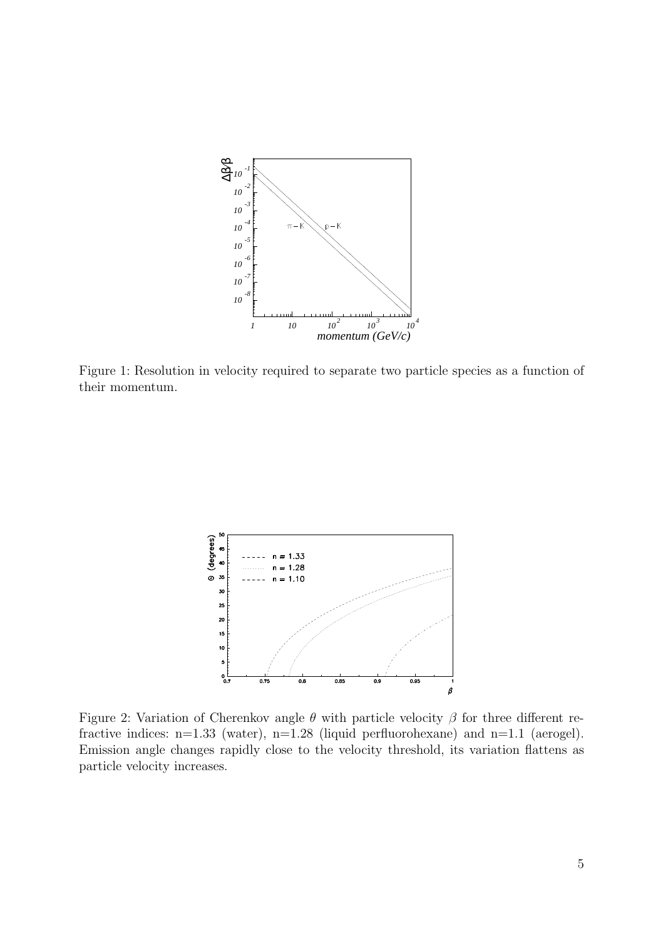

Figure 1: Resolution in velocity required to separate two particle species as a function of their momentum.



Figure 2: Variation of Cherenkov angle  $\theta$  with particle velocity  $\beta$  for three different refractive indices:  $n=1.33$  (water),  $n=1.28$  (liquid perfluorohexane) and  $n=1.1$  (aerogel). Emission angle changes rapidly close to the velocity threshold, its variation flattens as particle velocity increases.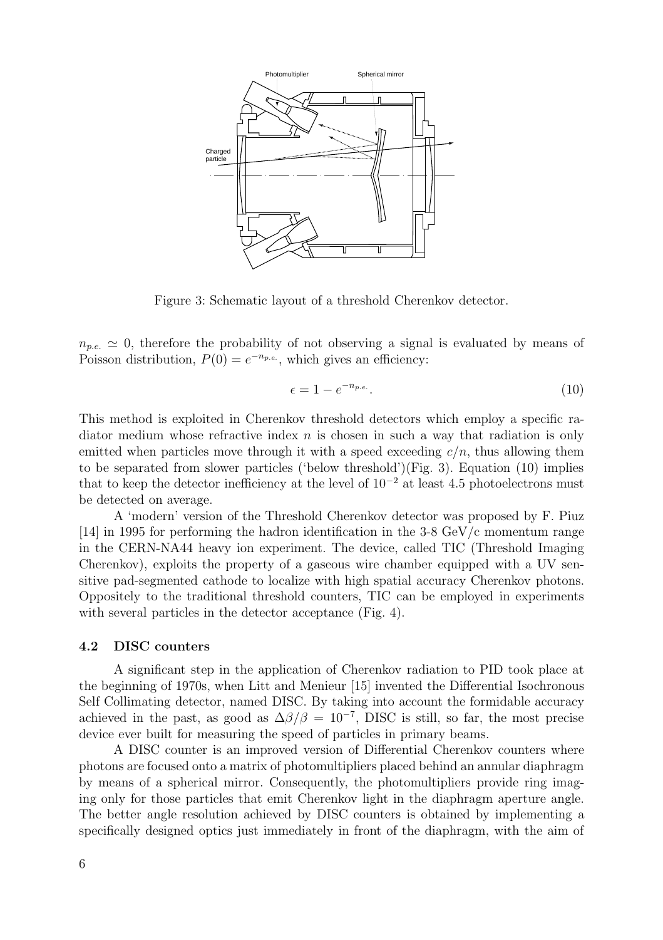

Figure 3: Schematic layout of a threshold Cherenkov detector.

 $n_{p.e.} \simeq 0$ , therefore the probability of not observing a signal is evaluated by means of Poisson distribution,  $P(0) = e^{-n p.e.}$ , which gives an efficiency:

$$
\epsilon = 1 - e^{-n_{p.e.}}.\tag{10}
$$

This method is exploited in Cherenkov threshold detectors which employ a specific radiator medium whose refractive index  $n$  is chosen in such a way that radiation is only emitted when particles move through it with a speed exceeding  $c/n$ , thus allowing them to be separated from slower particles ('below threshold')(Fig. 3). Equation (10) implies that to keep the detector inefficiency at the level of  $10^{-2}$  at least 4.5 photoelectrons must be detected on average.

A 'modern' version of the Threshold Cherenkov detector was proposed by F. Piuz [14] in 1995 for performing the hadron identification in the 3-8 GeV/c momentum range in the CERN-NA44 heavy ion experiment. The device, called TIC (Threshold Imaging Cherenkov), exploits the property of a gaseous wire chamber equipped with a UV sensitive pad-segmented cathode to localize with high spatial accuracy Cherenkov photons. Oppositely to the traditional threshold counters, TIC can be employed in experiments with several particles in the detector acceptance (Fig. 4).

### *4.2 DISC counters*

A significant step in the application of Cherenkov radiation to PID took place at the beginning of 1970s, when Litt and Menieur [15] invented the Differential Isochronous Self Collimating detector, named DISC. By taking into account the formidable accuracy achieved in the past, as good as  $\Delta\beta/\beta = 10^{-7}$ , DISC is still, so far, the most precise device ever built for measuring the speed of particles in primary beams.

A DISC counter is an improved version of Differential Cherenkov counters where photons are focused onto a matrix of photomultipliers placed behind an annular diaphragm by means of a spherical mirror. Consequently, the photomultipliers provide ring imaging only for those particles that emit Cherenkov light in the diaphragm aperture angle. The better angle resolution achieved by DISC counters is obtained by implementing a specifically designed optics just immediately in front of the diaphragm, with the aim of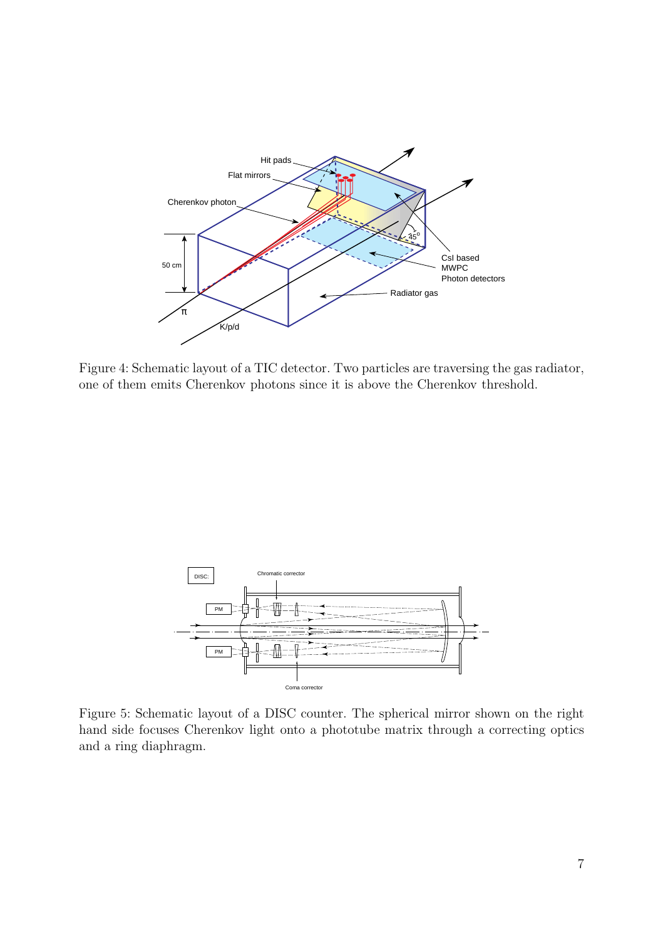

Figure 4: Schematic layout of a TIC detector. Two particles are traversing the gas radiator, one of them emits Cherenkov photons since it is above the Cherenkov threshold.



Figure 5: Schematic layout of a DISC counter. The spherical mirror shown on the right hand side focuses Cherenkov light onto a phototube matrix through a correcting optics and a ring diaphragm.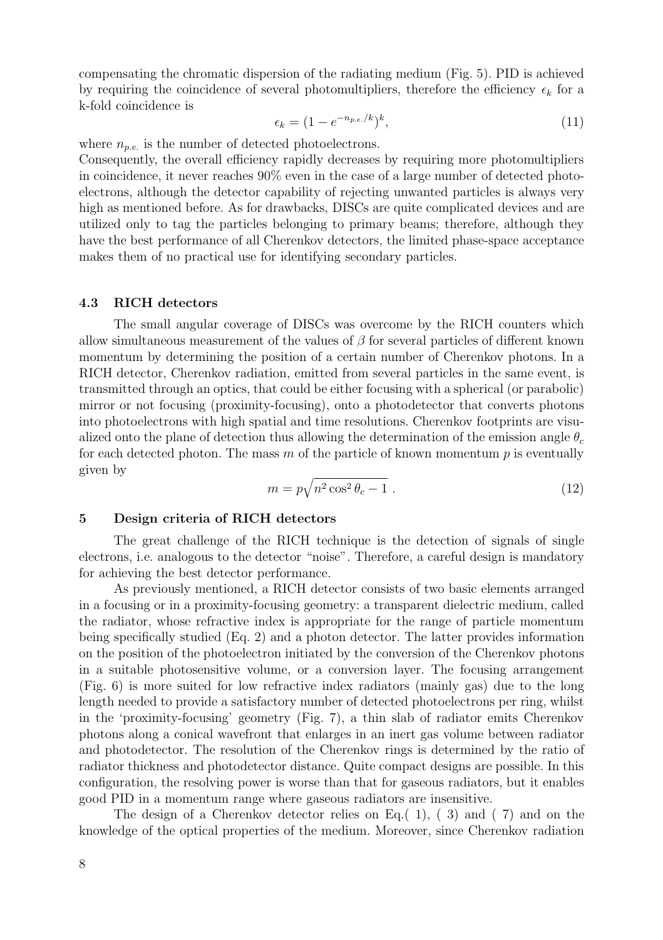compensating the chromatic dispersion of the radiating medium (Fig. 5). PID is achieved by requiring the coincidence of several photomultipliers, therefore the efficiency  $\epsilon_k$  for a k-fold coincidence is

$$
\epsilon_k = (1 - e^{-n_{p.e.}/k})^k,\tag{11}
$$

where  $n_{p.e.}$  is the number of detected photoelectrons.

Consequently, the overall efficiency rapidly decreases by requiring more photomultipliers in coincidence, it never reaches 90% even in the case of a large number of detected photoelectrons, although the detector capability of rejecting unwanted particles is always very high as mentioned before. As for drawbacks, DISCs are quite complicated devices and are utilized only to tag the particles belonging to primary beams; therefore, although they have the best performance of all Cherenkov detectors, the limited phase-space acceptance makes them of no practical use for identifying secondary particles.

## *4.3 RICH detectors*

The small angular coverage of DISCs was overcome by the RICH counters which allow simultaneous measurement of the values of  $\beta$  for several particles of different known momentum by determining the position of a certain number of Cherenkov photons. In a RICH detector, Cherenkov radiation, emitted from several particles in the same event, is transmitted through an optics, that could be either focusing with a spherical (or parabolic) mirror or not focusing (proximity-focusing), onto a photodetector that converts photons into photoelectrons with high spatial and time resolutions. Cherenkov footprints are visualized onto the plane of detection thus allowing the determination of the emission angle  $\theta_c$ for each detected photon. The mass  $m$  of the particle of known momentum  $p$  is eventually given by

$$
m = p\sqrt{n^2 \cos^2 \theta_c - 1} \tag{12}
$$

### *5 Design criteria of RICH detectors*

The great challenge of the RICH technique is the detection of signals of single electrons, i.e. analogous to the detector "noise". Therefore, a careful design is mandatory for achieving the best detector performance.

As previously mentioned, a RICH detector consists of two basic elements arranged in a focusing or in a proximity-focusing geometry: a transparent dielectric medium, called the radiator, whose refractive index is appropriate for the range of particle momentum being specifically studied (Eq. 2) and a photon detector. The latter provides information on the position of the photoelectron initiated by the conversion of the Cherenkov photons in a suitable photosensitive volume, or a conversion layer. The focusing arrangement (Fig. 6) is more suited for low refractive index radiators (mainly gas) due to the long length needed to provide a satisfactory number of detected photoelectrons per ring, whilst in the 'proximity-focusing' geometry (Fig. 7), a thin slab of radiator emits Cherenkov photons along a conical wavefront that enlarges in an inert gas volume between radiator and photodetector. The resolution of the Cherenkov rings is determined by the ratio of radiator thickness and photodetector distance. Quite compact designs are possible. In this configuration, the resolving power is worse than that for gaseous radiators, but it enables good PID in a momentum range where gaseous radiators are insensitive.

The design of a Cherenkov detector relies on Eq.( 1), ( 3) and ( 7) and on the knowledge of the optical properties of the medium. Moreover, since Cherenkov radiation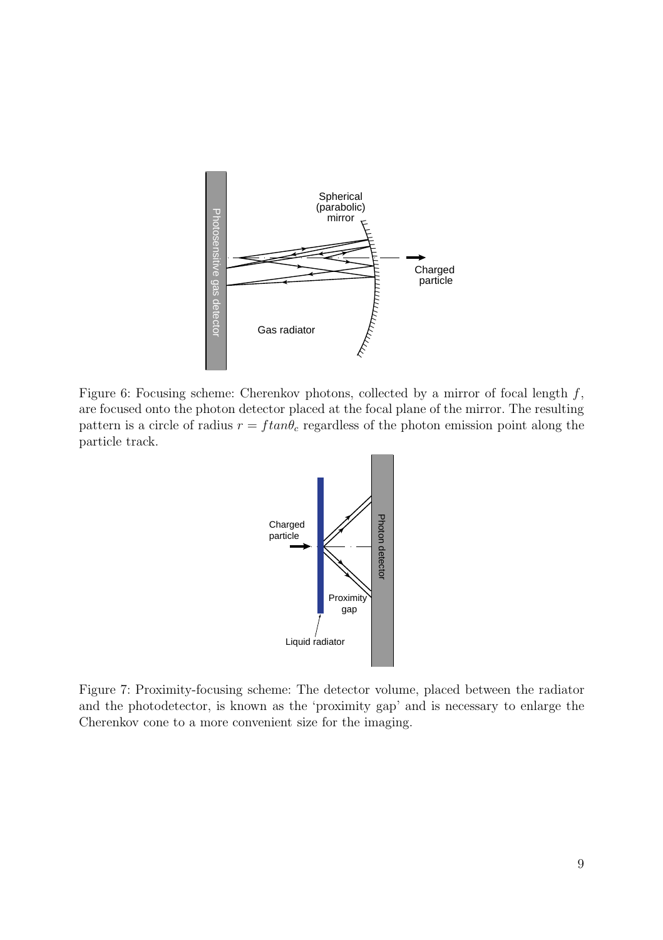

Figure 6: Focusing scheme: Cherenkov photons, collected by a mirror of focal length  $f$ , are focused onto the photon detector placed at the focal plane of the mirror. The resulting pattern is a circle of radius  $r = f \tan \theta_c$  regardless of the photon emission point along the particle track.



Figure 7: Proximity-focusing scheme: The detector volume, placed between the radiator and the photodetector, is known as the 'proximity gap' and is necessary to enlarge the Cherenkov cone to a more convenient size for the imaging.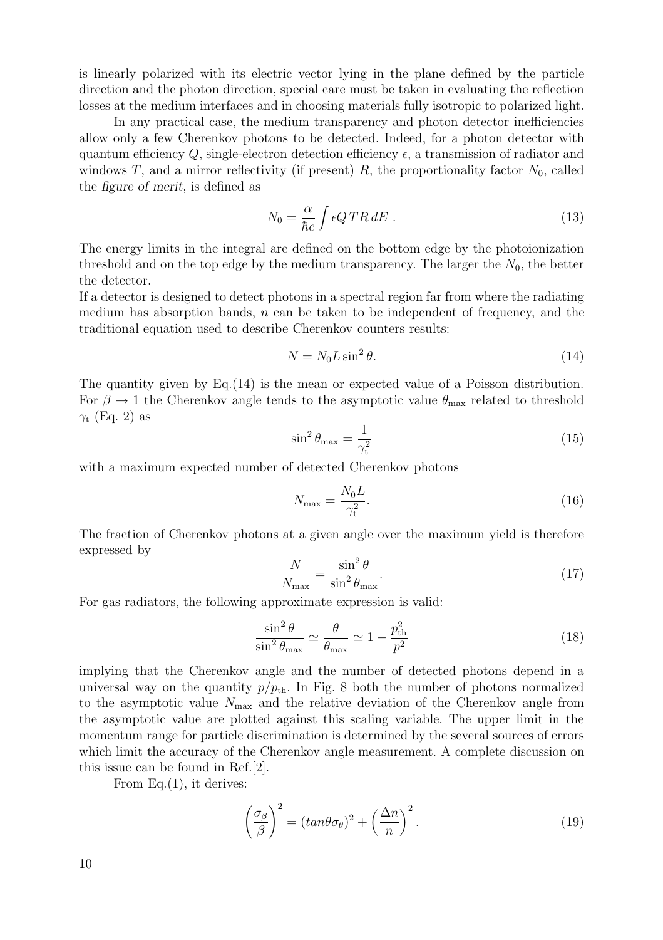is linearly polarized with its electric vector lying in the plane defined by the particle direction and the photon direction, special care must be taken in evaluating the reflection losses at the medium interfaces and in choosing materials fully isotropic to polarized light.

In any practical case, the medium transparency and photon detector inefficiencies allow only a few Cherenkov photons to be detected. Indeed, for a photon detector with quantum efficiency  $Q$ , single-electron detection efficiency  $\epsilon$ , a transmission of radiator and windows T, and a mirror reflectivity (if present) R, the proportionality factor  $N_0$ , called the figure of merit, is defined as

$$
N_0 = \frac{\alpha}{\hbar c} \int \epsilon Q \, TR \, dE \tag{13}
$$

The energy limits in the integral are defined on the bottom edge by the photoionization threshold and on the top edge by the medium transparency. The larger the  $N_0$ , the better the detector.

If a detector is designed to detect photons in a spectral region far from where the radiating medium has absorption bands,  $n$  can be taken to be independent of frequency, and the traditional equation used to describe Cherenkov counters results:

$$
N = N_0 L \sin^2 \theta. \tag{14}
$$

The quantity given by Eq.(14) is the mean or expected value of a Poisson distribution. For  $\beta \to 1$  the Cherenkov angle tends to the asymptotic value  $\theta_{\text{max}}$  related to threshold  $\gamma_t$  (Eq. 2) as

$$
\sin^2 \theta_{\text{max}} = \frac{1}{\gamma_t^2} \tag{15}
$$

with a maximum expected number of detected Cherenkov photons

$$
N_{\text{max}} = \frac{N_0 L}{\gamma_t^2}.\tag{16}
$$

The fraction of Cherenkov photons at a given angle over the maximum yield is therefore expressed by

$$
\frac{N}{N_{\text{max}}} = \frac{\sin^2 \theta}{\sin^2 \theta_{\text{max}}}.\tag{17}
$$

For gas radiators, the following approximate expression is valid:

$$
\frac{\sin^2 \theta}{\sin^2 \theta_{\text{max}}} \simeq \frac{\theta}{\theta_{\text{max}}} \simeq 1 - \frac{p_{\text{th}}^2}{p^2}
$$
\n(18)

implying that the Cherenkov angle and the number of detected photons depend in a universal way on the quantity  $p/p_{\text{th}}$ . In Fig. 8 both the number of photons normalized to the asymptotic value  $N_{\text{max}}$  and the relative deviation of the Cherenkov angle from the asymptotic value are plotted against this scaling variable. The upper limit in the momentum range for particle discrimination is determined by the several sources of errors which limit the accuracy of the Cherenkov angle measurement. A complete discussion on this issue can be found in Ref.[2].

From Eq. $(1)$ , it derives:

$$
\left(\frac{\sigma_{\beta}}{\beta}\right)^2 = (tan\theta\sigma_{\theta})^2 + \left(\frac{\Delta n}{n}\right)^2.
$$
\n(19)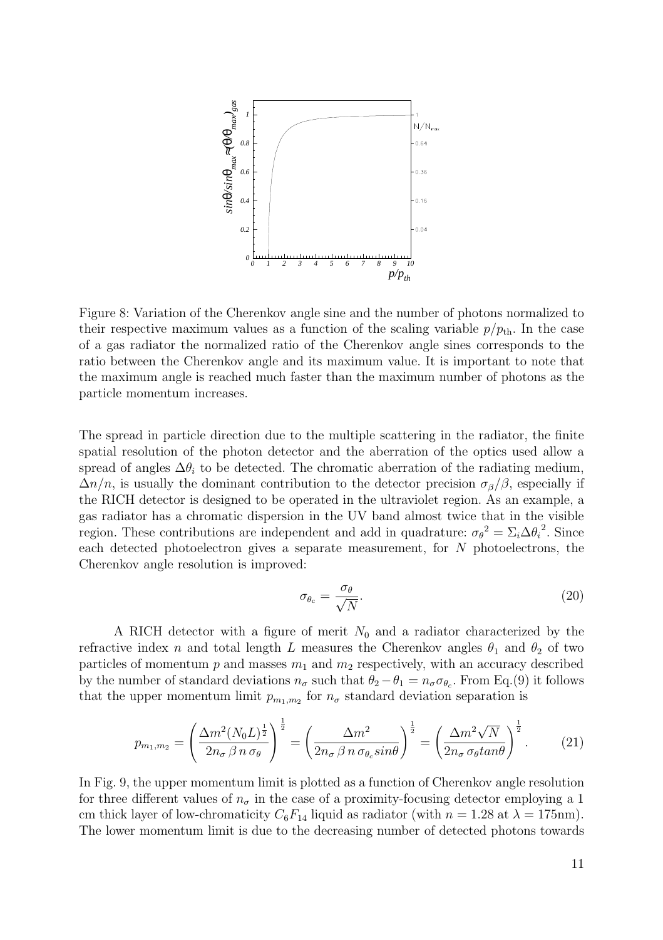

Figure 8: Variation of the Cherenkov angle sine and the number of photons normalized to their respective maximum values as a function of the scaling variable  $p/p_{\text{th}}$ . In the case of a gas radiator the normalized ratio of the Cherenkov angle sines corresponds to the ratio between the Cherenkov angle and its maximum value. It is important to note that the maximum angle is reached much faster than the maximum number of photons as the particle momentum increases.

The spread in particle direction due to the multiple scattering in the radiator, the finite spatial resolution of the photon detector and the aberration of the optics used allow a spread of angles  $\Delta\theta_i$  to be detected. The chromatic aberration of the radiating medium,  $\Delta n/n$ , is usually the dominant contribution to the detector precision  $\sigma_{\beta}/\beta$ , especially if the RICH detector is designed to be operated in the ultraviolet region. As an example, a gas radiator has a chromatic dispersion in the UV band almost twice that in the visible region. These contributions are independent and add in quadrature:  $\sigma_{\theta}^2 = \sum_i \Delta \theta_i^2$ . Since each detected photoelectron gives a separate measurement, for N photoelectrons, the Cherenkov angle resolution is improved:

$$
\sigma_{\theta_{\rm c}} = \frac{\sigma_{\theta}}{\sqrt{N}}.\tag{20}
$$

A RICH detector with a figure of merit  $N_0$  and a radiator characterized by the refractive index n and total length L measures the Cherenkov angles  $\theta_1$  and  $\theta_2$  of two particles of momentum  $p$  and masses  $m_1$  and  $m_2$  respectively, with an accuracy described by the number of standard deviations  $n_{\sigma}$  such that  $\theta_2 - \theta_1 = n_{\sigma} \sigma_{\theta_c}$ . From Eq.(9) it follows that the upper momentum limit  $p_{m_1,m_2}$  for  $n_{\sigma}$  standard deviation separation is

$$
p_{m_1,m_2} = \left(\frac{\Delta m^2 (N_0 L)^{\frac{1}{2}}}{2n_\sigma \beta n \sigma_\theta}\right)^{\frac{1}{2}} = \left(\frac{\Delta m^2}{2n_\sigma \beta n \sigma_{\theta_c} sin \theta}\right)^{\frac{1}{2}} = \left(\frac{\Delta m^2 \sqrt{N}}{2n_\sigma \sigma_\theta tan \theta}\right)^{\frac{1}{2}}.\tag{21}
$$

In Fig. 9, the upper momentum limit is plotted as a function of Cherenkov angle resolution for three different values of  $n_{\sigma}$  in the case of a proximity-focusing detector employing a 1 cm thick layer of low-chromaticity  $C_6F_{14}$  liquid as radiator (with  $n = 1.28$  at  $\lambda = 175$ nm). The lower momentum limit is due to the decreasing number of detected photons towards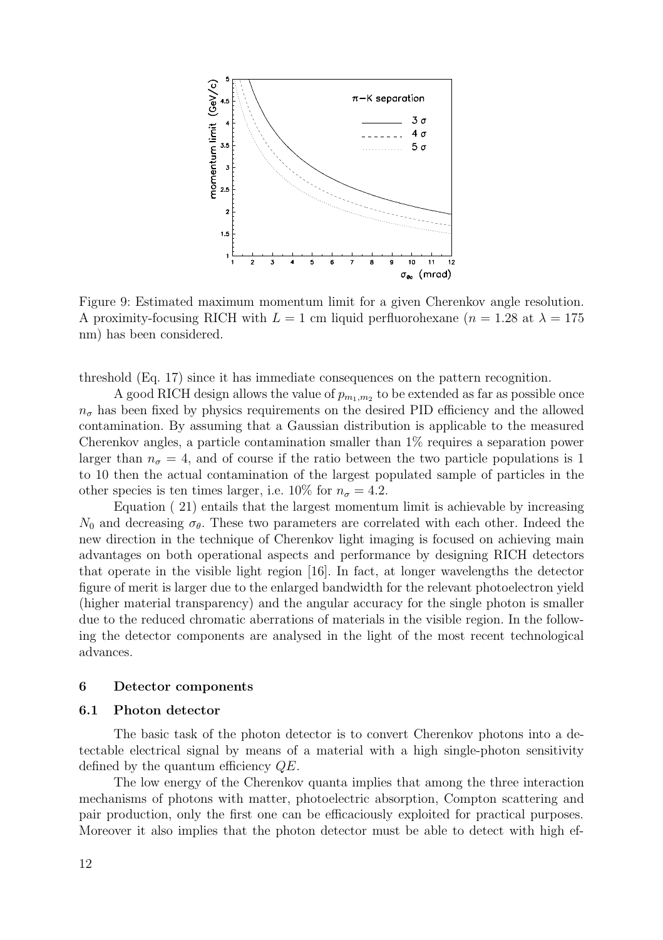

Figure 9: Estimated maximum momentum limit for a given Cherenkov angle resolution. A proximity-focusing RICH with  $L = 1$  cm liquid perfluorohexane  $(n = 1.28$  at  $\lambda = 175$ nm) has been considered.

threshold (Eq. 17) since it has immediate consequences on the pattern recognition.

A good RICH design allows the value of  $p_{m_1,m_2}$  to be extended as far as possible once  $n_{\sigma}$  has been fixed by physics requirements on the desired PID efficiency and the allowed contamination. By assuming that a Gaussian distribution is applicable to the measured Cherenkov angles, a particle contamination smaller than 1% requires a separation power larger than  $n_{\sigma} = 4$ , and of course if the ratio between the two particle populations is 1 to 10 then the actual contamination of the largest populated sample of particles in the other species is ten times larger, i.e.  $10\%$  for  $n_{\sigma} = 4.2$ .

Equation ( 21) entails that the largest momentum limit is achievable by increasing  $N_0$  and decreasing  $\sigma_{\theta}$ . These two parameters are correlated with each other. Indeed the new direction in the technique of Cherenkov light imaging is focused on achieving main advantages on both operational aspects and performance by designing RICH detectors that operate in the visible light region [16]. In fact, at longer wavelengths the detector figure of merit is larger due to the enlarged bandwidth for the relevant photoelectron yield (higher material transparency) and the angular accuracy for the single photon is smaller due to the reduced chromatic aberrations of materials in the visible region. In the following the detector components are analysed in the light of the most recent technological advances.

## *6 Detector components*

#### *6.1 Photon detector*

The basic task of the photon detector is to convert Cherenkov photons into a detectable electrical signal by means of a material with a high single-photon sensitivity defined by the quantum efficiency QE.

The low energy of the Cherenkov quanta implies that among the three interaction mechanisms of photons with matter, photoelectric absorption, Compton scattering and pair production, only the first one can be efficaciously exploited for practical purposes. Moreover it also implies that the photon detector must be able to detect with high ef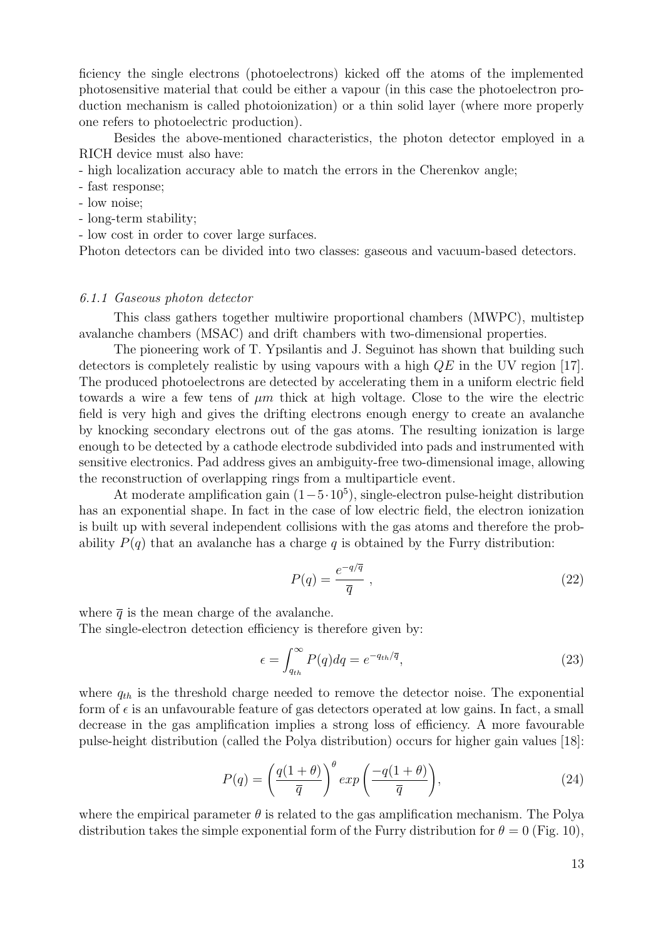ficiency the single electrons (photoelectrons) kicked off the atoms of the implemented photosensitive material that could be either a vapour (in this case the photoelectron production mechanism is called photoionization) or a thin solid layer (where more properly one refers to photoelectric production).

Besides the above-mentioned characteristics, the photon detector employed in a RICH device must also have:

- high localization accuracy able to match the errors in the Cherenkov angle;

- fast response;
- low noise;
- long-term stability;
- low cost in order to cover large surfaces.

Photon detectors can be divided into two classes: gaseous and vacuum-based detectors.

### 6.1.1 Gaseous photon detector

This class gathers together multiwire proportional chambers (MWPC), multistep avalanche chambers (MSAC) and drift chambers with two-dimensional properties.

The pioneering work of T. Ypsilantis and J. Seguinot has shown that building such detectors is completely realistic by using vapours with a high  $QE$  in the UV region [17]. The produced photoelectrons are detected by accelerating them in a uniform electric field towards a wire a few tens of  $\mu$ m thick at high voltage. Close to the wire the electric field is very high and gives the drifting electrons enough energy to create an avalanche by knocking secondary electrons out of the gas atoms. The resulting ionization is large enough to be detected by a cathode electrode subdivided into pads and instrumented with sensitive electronics. Pad address gives an ambiguity-free two-dimensional image, allowing the reconstruction of overlapping rings from a multiparticle event.

At moderate amplification gain  $(1-5.10^5)$ , single-electron pulse-height distribution has an exponential shape. In fact in the case of low electric field, the electron ionization is built up with several independent collisions with the gas atoms and therefore the probability  $P(q)$  that an avalanche has a charge q is obtained by the Furry distribution:

$$
P(q) = \frac{e^{-q/\overline{q}}}{\overline{q}} \t{22}
$$

where  $\bar{q}$  is the mean charge of the avalanche.

The single-electron detection efficiency is therefore given by:

$$
\epsilon = \int_{q_{th}}^{\infty} P(q) dq = e^{-q_{th}/\overline{q}},\tag{23}
$$

where  $q_{th}$  is the threshold charge needed to remove the detector noise. The exponential form of  $\epsilon$  is an unfavourable feature of gas detectors operated at low gains. In fact, a small decrease in the gas amplification implies a strong loss of efficiency. A more favourable pulse-height distribution (called the Polya distribution) occurs for higher gain values [18]:

$$
P(q) = \left(\frac{q(1+\theta)}{\overline{q}}\right)^{\theta} \exp\left(\frac{-q(1+\theta)}{\overline{q}}\right),\tag{24}
$$

where the empirical parameter  $\theta$  is related to the gas amplification mechanism. The Polya distribution takes the simple exponential form of the Furry distribution for  $\theta = 0$  (Fig. 10),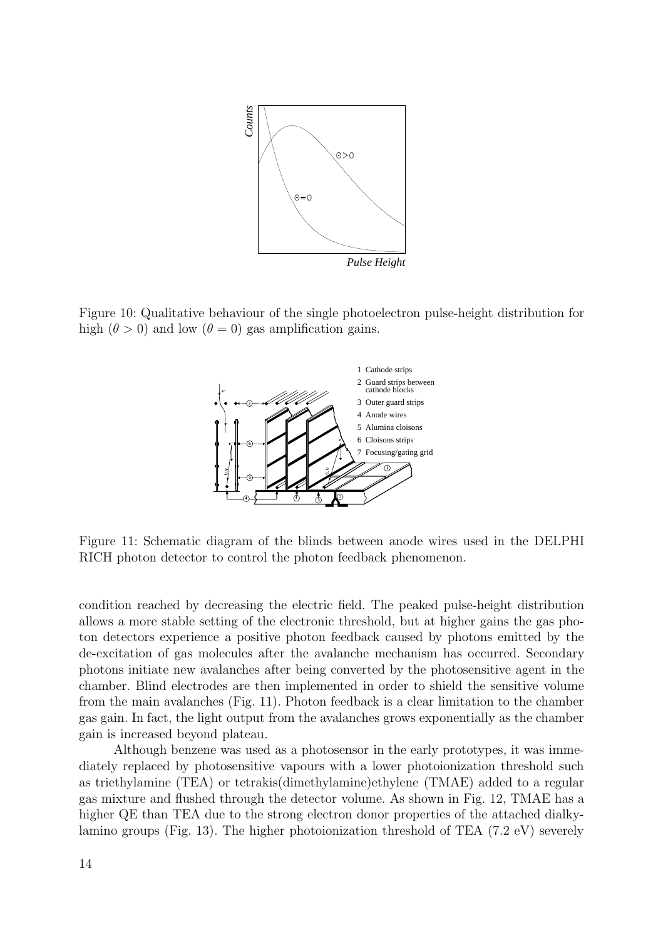

Figure 10: Qualitative behaviour of the single photoelectron pulse-height distribution for high  $(\theta > 0)$  and low  $(\theta = 0)$  gas amplification gains.



Figure 11: Schematic diagram of the blinds between anode wires used in the DELPHI RICH photon detector to control the photon feedback phenomenon.

condition reached by decreasing the electric field. The peaked pulse-height distribution allows a more stable setting of the electronic threshold, but at higher gains the gas photon detectors experience a positive photon feedback caused by photons emitted by the de-excitation of gas molecules after the avalanche mechanism has occurred. Secondary photons initiate new avalanches after being converted by the photosensitive agent in the chamber. Blind electrodes are then implemented in order to shield the sensitive volume from the main avalanches (Fig. 11). Photon feedback is a clear limitation to the chamber gas gain. In fact, the light output from the avalanches grows exponentially as the chamber gain is increased beyond plateau.

Although benzene was used as a photosensor in the early prototypes, it was immediately replaced by photosensitive vapours with a lower photoionization threshold such as triethylamine (TEA) or tetrakis(dimethylamine)ethylene (TMAE) added to a regular gas mixture and flushed through the detector volume. As shown in Fig. 12, TMAE has a higher QE than TEA due to the strong electron donor properties of the attached dialkylamino groups (Fig. 13). The higher photoionization threshold of TEA (7.2 eV) severely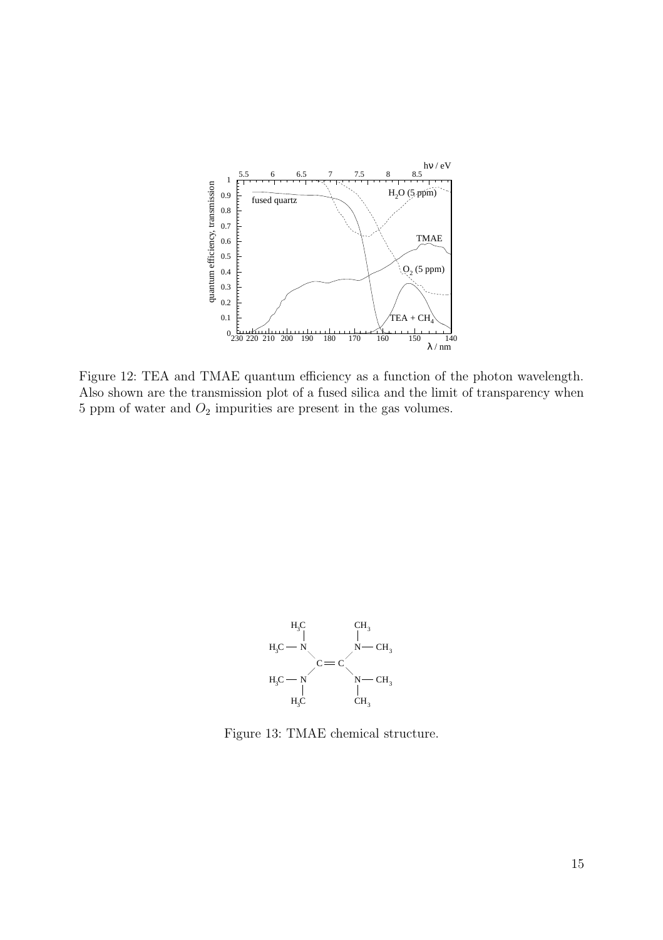

Figure 12: TEA and TMAE quantum efficiency as a function of the photon wavelength. Also shown are the transmission plot of a fused silica and the limit of transparency when  $5$  ppm of water and  ${\cal O}_2$  impurities are present in the gas volumes.



Figure 13: TMAE chemical structure.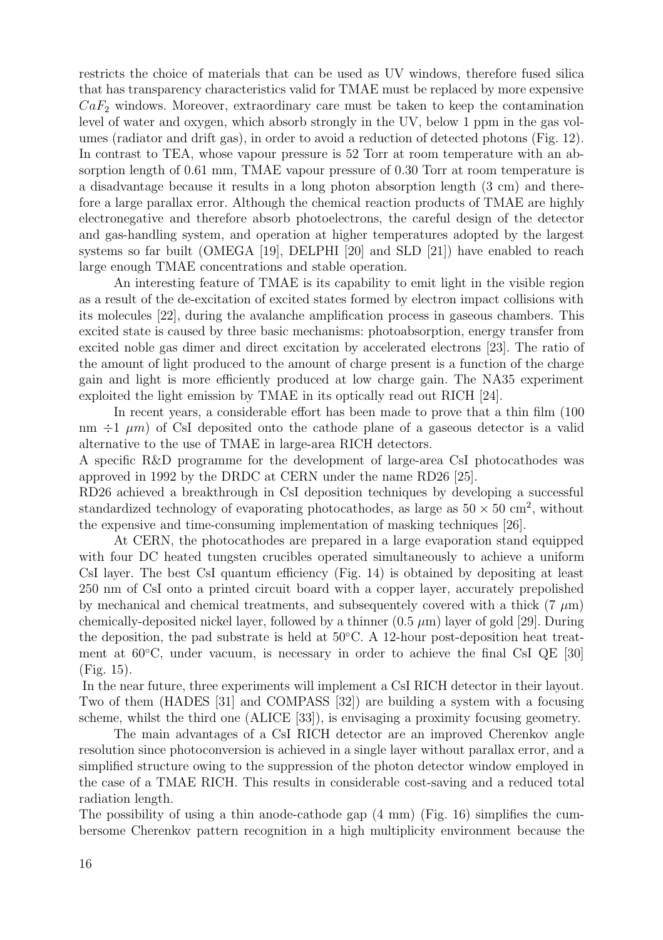restricts the choice of materials that can be used as UV windows, therefore fused silica that has transparency characteristics valid for TMAE must be replaced by more expensive  $CaF<sub>2</sub>$  windows. Moreover, extraordinary care must be taken to keep the contamination level of water and oxygen, which absorb strongly in the UV, below 1 ppm in the gas volumes (radiator and drift gas), in order to avoid a reduction of detected photons (Fig. 12). In contrast to TEA, whose vapour pressure is 52 Torr at room temperature with an absorption length of 0.61 mm, TMAE vapour pressure of 0.30 Torr at room temperature is a disadvantage because it results in a long photon absorption length (3 cm) and therefore a large parallax error. Although the chemical reaction products of TMAE are highly electronegative and therefore absorb photoelectrons, the careful design of the detector and gas-handling system, and operation at higher temperatures adopted by the largest systems so far built (OMEGA [19], DELPHI [20] and SLD [21]) have enabled to reach large enough TMAE concentrations and stable operation.

An interesting feature of TMAE is its capability to emit light in the visible region as a result of the de-excitation of excited states formed by electron impact collisions with its molecules [22], during the avalanche amplification process in gaseous chambers. This excited state is caused by three basic mechanisms: photoabsorption, energy transfer from excited noble gas dimer and direct excitation by accelerated electrons [23]. The ratio of the amount of light produced to the amount of charge present is a function of the charge gain and light is more efficiently produced at low charge gain. The NA35 experiment exploited the light emission by TMAE in its optically read out RICH [24].

In recent years, a considerable effort has been made to prove that a thin film (100 nm  $\div 1$   $\mu$ m) of CsI deposited onto the cathode plane of a gaseous detector is a valid alternative to the use of TMAE in large-area RICH detectors.

A specific R&D programme for the development of large-area CsI photocathodes was approved in 1992 by the DRDC at CERN under the name RD26 [25].

RD26 achieved a breakthrough in CsI deposition techniques by developing a successful standardized technology of evaporating photocathodes, as large as  $50 \times 50 \text{ cm}^2$ , without the expensive and time-consuming implementation of masking techniques [26].

At CERN, the photocathodes are prepared in a large evaporation stand equipped with four DC heated tungsten crucibles operated simultaneously to achieve a uniform CsI layer. The best CsI quantum efficiency (Fig. 14) is obtained by depositing at least 250 nm of CsI onto a printed circuit board with a copper layer, accurately prepolished by mechanical and chemical treatments, and subsequentely covered with a thick  $(7 \mu m)$ chemically-deposited nickel layer, followed by a thinner  $(0.5 \ \mu m)$  layer of gold [29]. During the deposition, the pad substrate is held at  $50^{\circ}$ C. A 12-hour post-deposition heat treatment at  $60^{\circ}$ C, under vacuum, is necessary in order to achieve the final CsI QE [30] (Fig. 15).

In the near future, three experiments will implement a CsI RICH detector in their layout. Two of them (HADES [31] and COMPASS [32]) are building a system with a focusing scheme, whilst the third one (ALICE [33]), is envisaging a proximity focusing geometry.

The main advantages of a CsI RICH detector are an improved Cherenkov angle resolution since photoconversion is achieved in a single layer without parallax error, and a simplified structure owing to the suppression of the photon detector window employed in the case of a TMAE RICH. This results in considerable cost-saving and a reduced total radiation length.

The possibility of using a thin anode-cathode gap (4 mm) (Fig. 16) simplifies the cumbersome Cherenkov pattern recognition in a high multiplicity environment because the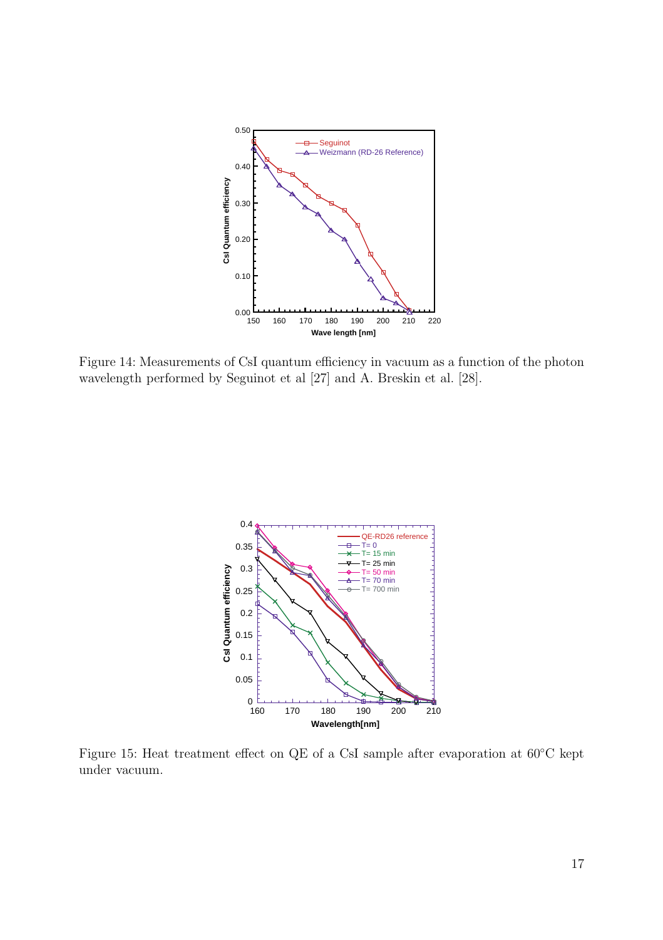

Figure 14: Measurements of CsI quantum efficiency in vacuum as a function of the photon wavelength performed by Seguinot et al [27] and A. Breskin et al. [28].



Figure 15: Heat treatment effect on QE of a CsI sample after evaporation at 60◦C kept under vacuum.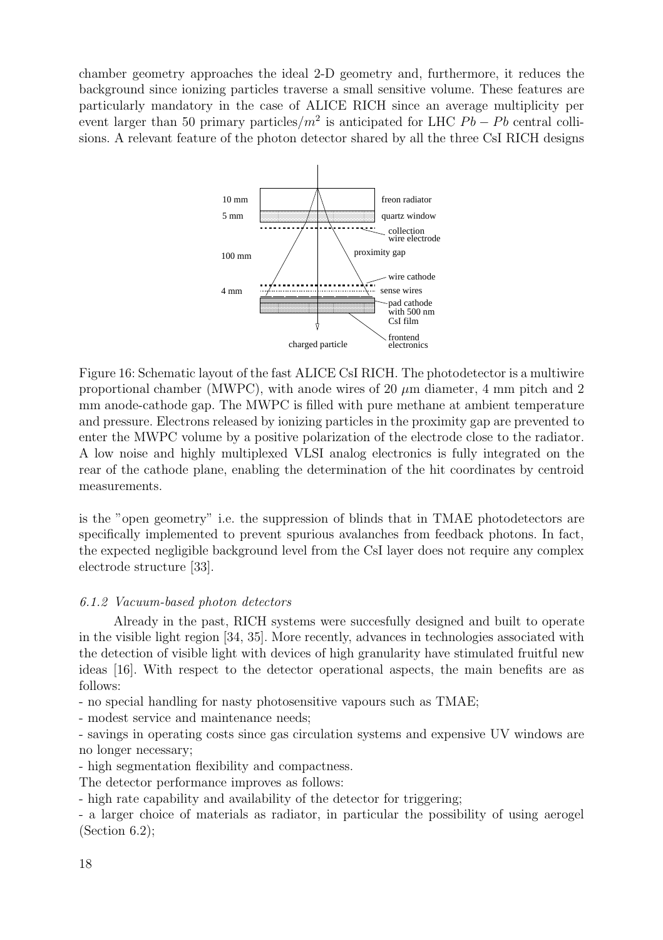chamber geometry approaches the ideal 2-D geometry and, furthermore, it reduces the background since ionizing particles traverse a small sensitive volume. These features are particularly mandatory in the case of ALICE RICH since an average multiplicity per event larger than 50 primary particles/ $m^2$  is anticipated for LHC  $Pb - Pb$  central collisions. A relevant feature of the photon detector shared by all the three CsI RICH designs



Figure 16: Schematic layout of the fast ALICE CsI RICH. The photodetector is a multiwire proportional chamber (MWPC), with anode wires of 20  $\mu$ m diameter, 4 mm pitch and 2 mm anode-cathode gap. The MWPC is filled with pure methane at ambient temperature and pressure. Electrons released by ionizing particles in the proximity gap are prevented to enter the MWPC volume by a positive polarization of the electrode close to the radiator. A low noise and highly multiplexed VLSI analog electronics is fully integrated on the rear of the cathode plane, enabling the determination of the hit coordinates by centroid measurements.

is the "open geometry" i.e. the suppression of blinds that in TMAE photodetectors are specifically implemented to prevent spurious avalanches from feedback photons. In fact, the expected negligible background level from the CsI layer does not require any complex electrode structure [33].

## 6.1.2 Vacuum-based photon detectors

Already in the past, RICH systems were succesfully designed and built to operate in the visible light region [34, 35]. More recently, advances in technologies associated with the detection of visible light with devices of high granularity have stimulated fruitful new ideas [16]. With respect to the detector operational aspects, the main benefits are as follows:

- no special handling for nasty photosensitive vapours such as TMAE;

- modest service and maintenance needs;

- savings in operating costs since gas circulation systems and expensive UV windows are no longer necessary;

- high segmentation flexibility and compactness.

The detector performance improves as follows:

- high rate capability and availability of the detector for triggering;

- a larger choice of materials as radiator, in particular the possibility of using aerogel (Section 6.2);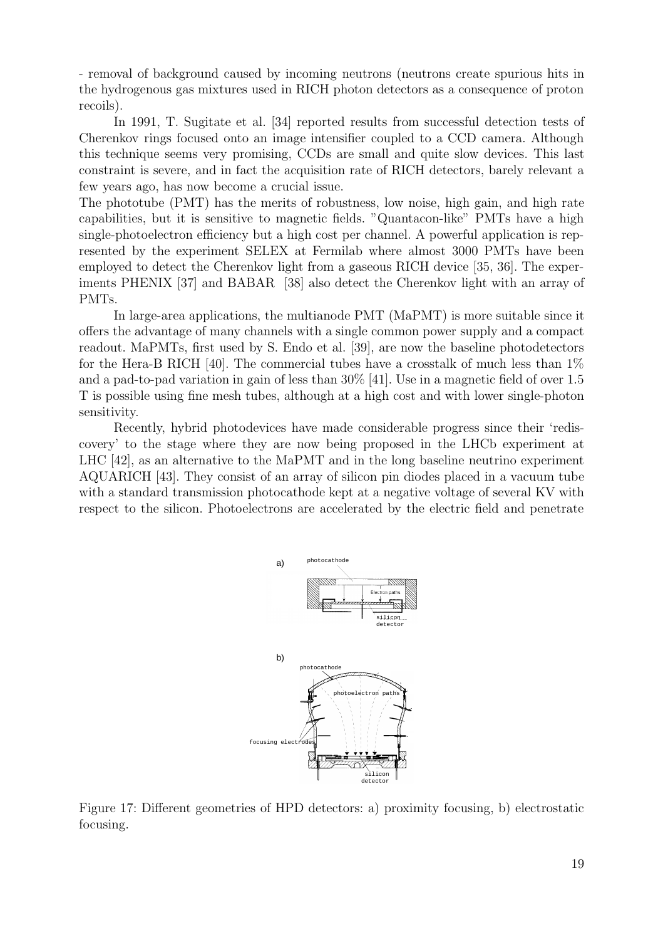- removal of background caused by incoming neutrons (neutrons create spurious hits in the hydrogenous gas mixtures used in RICH photon detectors as a consequence of proton recoils).

In 1991, T. Sugitate et al. [34] reported results from successful detection tests of Cherenkov rings focused onto an image intensifier coupled to a CCD camera. Although this technique seems very promising, CCDs are small and quite slow devices. This last constraint is severe, and in fact the acquisition rate of RICH detectors, barely relevant a few years ago, has now become a crucial issue.

The phototube (PMT) has the merits of robustness, low noise, high gain, and high rate capabilities, but it is sensitive to magnetic fields. "Quantacon-like" PMTs have a high single-photoelectron efficiency but a high cost per channel. A powerful application is represented by the experiment SELEX at Fermilab where almost 3000 PMTs have been employed to detect the Cherenkov light from a gaseous RICH device [35, 36]. The experiments PHENIX [37] and BABAR [38] also detect the Cherenkov light with an array of PMTs.

In large-area applications, the multianode PMT (MaPMT) is more suitable since it offers the advantage of many channels with a single common power supply and a compact readout. MaPMTs, first used by S. Endo et al. [39], are now the baseline photodetectors for the Hera-B RICH [40]. The commercial tubes have a crosstalk of much less than  $1\%$ and a pad-to-pad variation in gain of less than 30% [41]. Use in a magnetic field of over 1.5 T is possible using fine mesh tubes, although at a high cost and with lower single-photon sensitivity.

Recently, hybrid photodevices have made considerable progress since their 'rediscovery' to the stage where they are now being proposed in the LHCb experiment at LHC [42], as an alternative to the MaPMT and in the long baseline neutrino experiment AQUARICH [43]. They consist of an array of silicon pin diodes placed in a vacuum tube with a standard transmission photocathode kept at a negative voltage of several KV with respect to the silicon. Photoelectrons are accelerated by the electric field and penetrate



Figure 17: Different geometries of HPD detectors: a) proximity focusing, b) electrostatic focusing.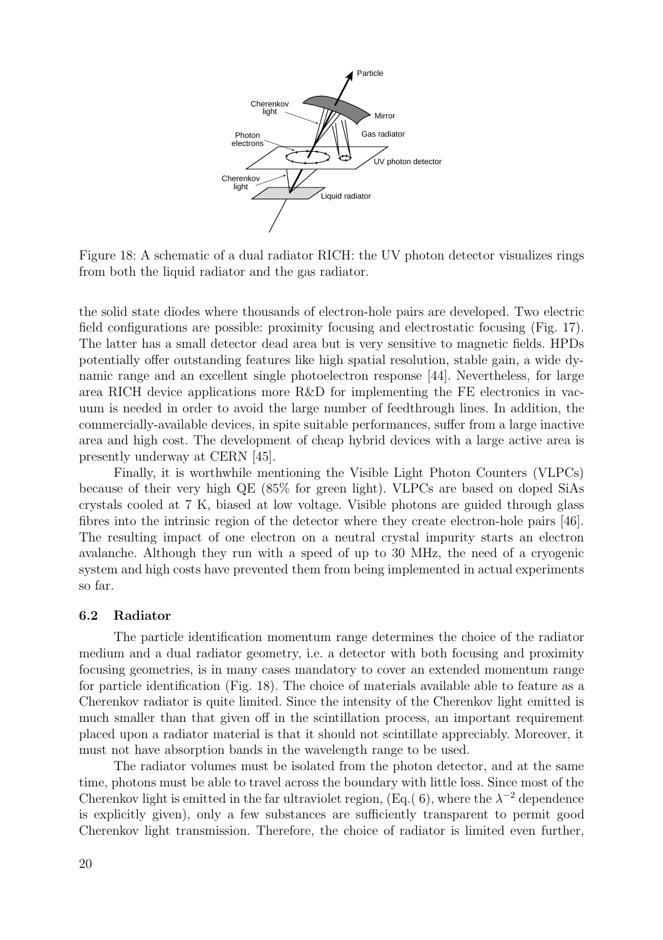

Figure 18: A schematic of a dual radiator RICH: the UV photon detector visualizes rings from both the liquid radiator and the gas radiator.

the solid state diodes where thousands of electron-hole pairs are developed. Two electric field configurations are possible: proximity focusing and electrostatic focusing (Fig. 17). The latter has a small detector dead area but is very sensitive to magnetic fields. HPDs potentially offer outstanding features like high spatial resolution, stable gain, a wide dynamic range and an excellent single photoelectron response [44]. Nevertheless, for large area RICH device applications more R&D for implementing the FE electronics in vacuum is needed in order to avoid the large number of feedthrough lines. In addition, the commercially-available devices, in spite suitable performances, suffer from a large inactive area and high cost. The development of cheap hybrid devices with a large active area is presently underway at CERN [45].

Finally, it is worthwhile mentioning the Visible Light Photon Counters (VLPCs) because of their very high QE (85% for green light). VLPCs are based on doped SiAs crystals cooled at 7 K, biased at low voltage. Visible photons are guided through glass fibres into the intrinsic region of the detector where they create electron-hole pairs [46]. The resulting impact of one electron on a neutral crystal impurity starts an electron avalanche. Although they run with a speed of up to 30 MHz, the need of a cryogenic system and high costs have prevented them from being implemented in actual experiments so far.

## *6.2 Radiator*

The particle identification momentum range determines the choice of the radiator medium and a dual radiator geometry, i.e. a detector with both focusing and proximity focusing geometries, is in many cases mandatory to cover an extended momentum range for particle identification (Fig. 18). The choice of materials available able to feature as a Cherenkov radiator is quite limited. Since the intensity of the Cherenkov light emitted is much smaller than that given off in the scintillation process, an important requirement placed upon a radiator material is that it should not scintillate appreciably. Moreover, it must not have absorption bands in the wavelength range to be used.

The radiator volumes must be isolated from the photon detector, and at the same time, photons must be able to travel across the boundary with little loss. Since most of the Cherenkov light is emitted in the far ultraviolet region, (Eq.( 6), where the  $\lambda^{-2}$  dependence is explicitly given), only a few substances are sufficiently transparent to permit good Cherenkov light transmission. Therefore, the choice of radiator is limited even further,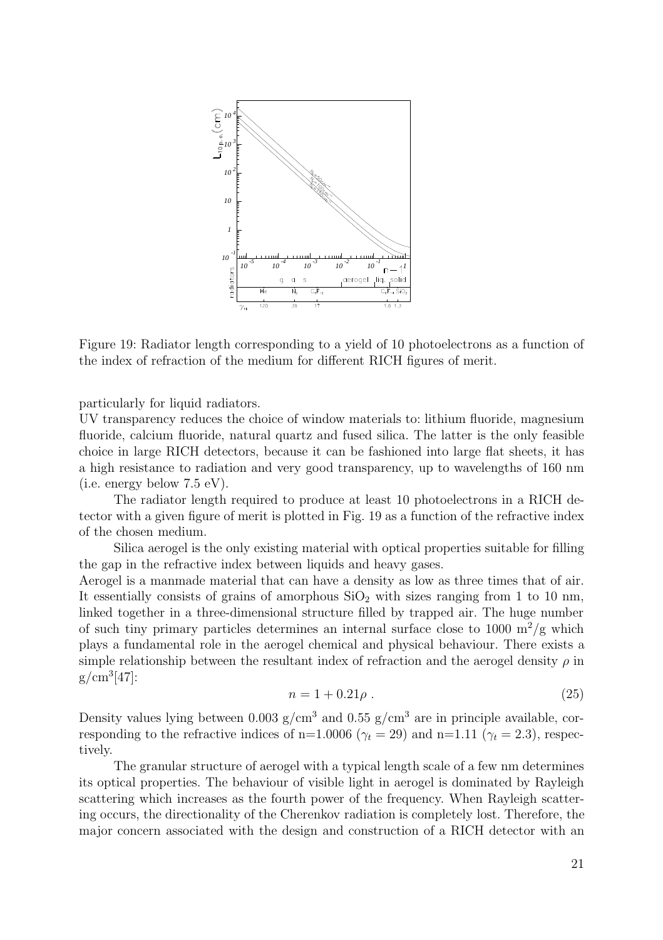

Figure 19: Radiator length corresponding to a yield of 10 photoelectrons as a function of the index of refraction of the medium for different RICH figures of merit.

particularly for liquid radiators.

UV transparency reduces the choice of window materials to: lithium fluoride, magnesium fluoride, calcium fluoride, natural quartz and fused silica. The latter is the only feasible choice in large RICH detectors, because it can be fashioned into large flat sheets, it has a high resistance to radiation and very good transparency, up to wavelengths of 160 nm (i.e. energy below 7.5 eV).

The radiator length required to produce at least 10 photoelectrons in a RICH detector with a given figure of merit is plotted in Fig. 19 as a function of the refractive index of the chosen medium.

Silica aerogel is the only existing material with optical properties suitable for filling the gap in the refractive index between liquids and heavy gases.

Aerogel is a manmade material that can have a density as low as three times that of air. It essentially consists of grains of amorphous  $SiO<sub>2</sub>$  with sizes ranging from 1 to 10 nm, linked together in a three-dimensional structure filled by trapped air. The huge number of such tiny primary particles determines an internal surface close to 1000  $\mathrm{m}^2/\mathrm{g}$  which plays a fundamental role in the aerogel chemical and physical behaviour. There exists a simple relationship between the resultant index of refraction and the aerogel density  $\rho$  in  $g/cm^{3}[47]$ :

$$
n = 1 + 0.21\rho \tag{25}
$$

Density values lying between 0.003  $g/cm<sup>3</sup>$  and 0.55  $g/cm<sup>3</sup>$  are in principle available, corresponding to the refractive indices of n=1.0006 ( $\gamma_t = 29$ ) and n=1.11 ( $\gamma_t = 2.3$ ), respectively.

The granular structure of aerogel with a typical length scale of a few nm determines its optical properties. The behaviour of visible light in aerogel is dominated by Rayleigh scattering which increases as the fourth power of the frequency. When Rayleigh scattering occurs, the directionality of the Cherenkov radiation is completely lost. Therefore, the major concern associated with the design and construction of a RICH detector with an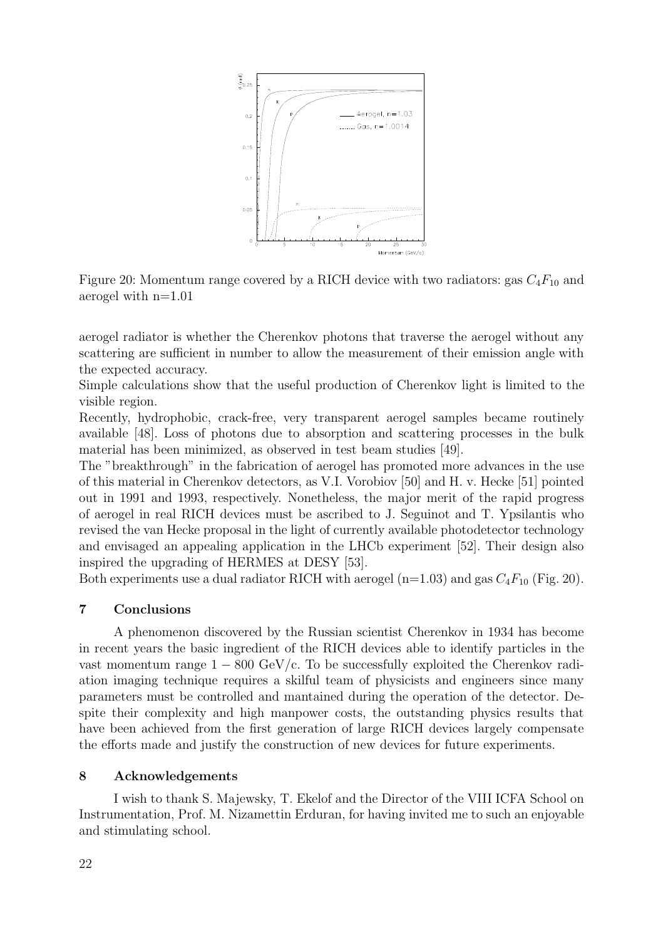

Figure 20: Momentum range covered by a RICH device with two radiators: gas  $C_4F_{10}$  and aerogel with n=1.01

aerogel radiator is whether the Cherenkov photons that traverse the aerogel without any scattering are sufficient in number to allow the measurement of their emission angle with the expected accuracy.

Simple calculations show that the useful production of Cherenkov light is limited to the visible region.

Recently, hydrophobic, crack-free, very transparent aerogel samples became routinely available [48]. Loss of photons due to absorption and scattering processes in the bulk material has been minimized, as observed in test beam studies [49].

The "breakthrough" in the fabrication of aerogel has promoted more advances in the use of this material in Cherenkov detectors, as V.I. Vorobiov [50] and H. v. Hecke [51] pointed out in 1991 and 1993, respectively. Nonetheless, the major merit of the rapid progress of aerogel in real RICH devices must be ascribed to J. Seguinot and T. Ypsilantis who revised the van Hecke proposal in the light of currently available photodetector technology and envisaged an appealing application in the LHCb experiment [52]. Their design also inspired the upgrading of HERMES at DESY [53].

Both experiments use a dual radiator RICH with aerogel  $(n=1.03)$  and gas  $C_4F_{10}$  (Fig. 20).

## *7 Conclusions*

A phenomenon discovered by the Russian scientist Cherenkov in 1934 has become in recent years the basic ingredient of the RICH devices able to identify particles in the vast momentum range  $1 - 800 \text{ GeV/c}$ . To be successfully exploited the Cherenkov radiation imaging technique requires a skilful team of physicists and engineers since many parameters must be controlled and mantained during the operation of the detector. Despite their complexity and high manpower costs, the outstanding physics results that have been achieved from the first generation of large RICH devices largely compensate the efforts made and justify the construction of new devices for future experiments.

## *8 Acknowledgements*

I wish to thank S. Majewsky, T. Ekelof and the Director of the VIII ICFA School on Instrumentation, Prof. M. Nizamettin Erduran, for having invited me to such an enjoyable and stimulating school.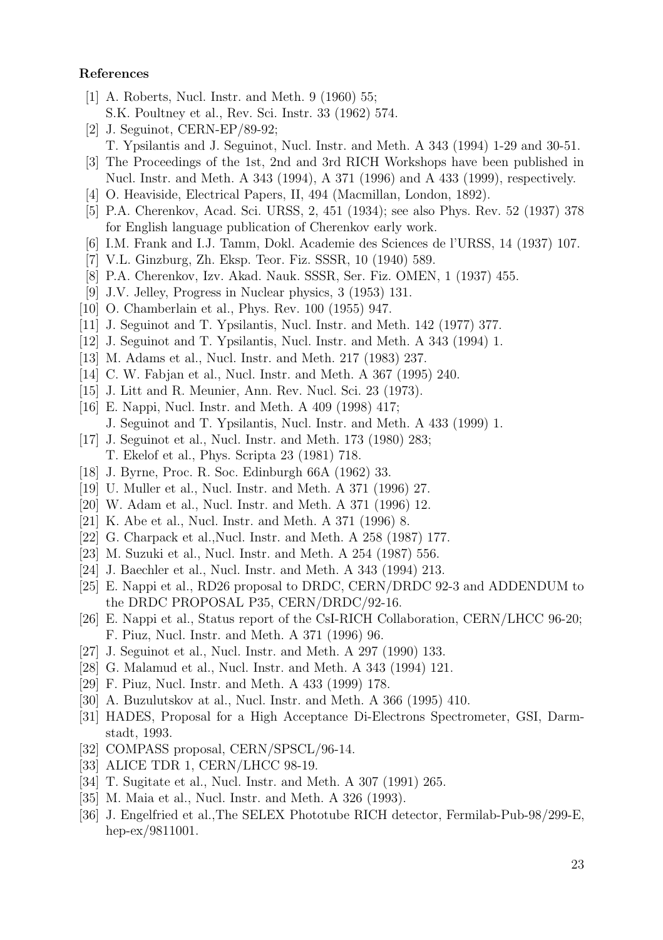## *References*

- [1] A. Roberts, Nucl. Instr. and Meth. 9 (1960) 55; S.K. Poultney et al., Rev. Sci. Instr. 33 (1962) 574.
- [2] J. Seguinot, CERN-EP/89-92; T. Ypsilantis and J. Seguinot, Nucl. Instr. and Meth. A 343 (1994) 1-29 and 30-51.
- [3] The Proceedings of the 1st, 2nd and 3rd RICH Workshops have been published in Nucl. Instr. and Meth. A 343 (1994), A 371 (1996) and A 433 (1999), respectively.
- [4] O. Heaviside, Electrical Papers, II, 494 (Macmillan, London, 1892).
- [5] P.A. Cherenkov, Acad. Sci. URSS, 2, 451 (1934); see also Phys. Rev. 52 (1937) 378 for English language publication of Cherenkov early work.
- [6] I.M. Frank and I.J. Tamm, Dokl. Academie des Sciences de l'URSS, 14 (1937) 107.
- [7] V.L. Ginzburg, Zh. Eksp. Teor. Fiz. SSSR, 10 (1940) 589.
- [8] P.A. Cherenkov, Izv. Akad. Nauk. SSSR, Ser. Fiz. OMEN, 1 (1937) 455.
- [9] J.V. Jelley, Progress in Nuclear physics, 3 (1953) 131.
- [10] O. Chamberlain et al., Phys. Rev. 100 (1955) 947.
- [11] J. Seguinot and T. Ypsilantis, Nucl. Instr. and Meth. 142 (1977) 377.
- [12] J. Seguinot and T. Ypsilantis, Nucl. Instr. and Meth. A 343 (1994) 1.
- [13] M. Adams et al., Nucl. Instr. and Meth. 217 (1983) 237.
- [14] C. W. Fabjan et al., Nucl. Instr. and Meth. A 367 (1995) 240.
- [15] J. Litt and R. Meunier, Ann. Rev. Nucl. Sci. 23 (1973).
- [16] E. Nappi, Nucl. Instr. and Meth. A 409 (1998) 417; J. Seguinot and T. Ypsilantis, Nucl. Instr. and Meth. A 433 (1999) 1.
- [17] J. Seguinot et al., Nucl. Instr. and Meth. 173 (1980) 283; T. Ekelof et al., Phys. Scripta 23 (1981) 718.
- [18] J. Byrne, Proc. R. Soc. Edinburgh 66A (1962) 33.
- [19] U. Muller et al., Nucl. Instr. and Meth. A 371 (1996) 27.
- [20] W. Adam et al., Nucl. Instr. and Meth. A 371 (1996) 12.
- [21] K. Abe et al., Nucl. Instr. and Meth. A 371 (1996) 8.
- [22] G. Charpack et al.,Nucl. Instr. and Meth. A 258 (1987) 177.
- [23] M. Suzuki et al., Nucl. Instr. and Meth. A 254 (1987) 556.
- [24] J. Baechler et al., Nucl. Instr. and Meth. A 343 (1994) 213.
- [25] E. Nappi et al., RD26 proposal to DRDC, CERN/DRDC 92-3 and ADDENDUM to the DRDC PROPOSAL P35, CERN/DRDC/92-16.
- [26] E. Nappi et al., Status report of the CsI-RICH Collaboration, CERN/LHCC 96-20; F. Piuz, Nucl. Instr. and Meth. A 371 (1996) 96.
- [27] J. Seguinot et al., Nucl. Instr. and Meth. A 297 (1990) 133.
- [28] G. Malamud et al., Nucl. Instr. and Meth. A 343 (1994) 121.
- [29] F. Piuz, Nucl. Instr. and Meth. A 433 (1999) 178.
- [30] A. Buzulutskov at al., Nucl. Instr. and Meth. A 366 (1995) 410.
- [31] HADES, Proposal for a High Acceptance Di-Electrons Spectrometer, GSI, Darmstadt, 1993.
- [32] COMPASS proposal, CERN/SPSCL/96-14.
- [33] ALICE TDR 1, CERN/LHCC 98-19.
- [34] T. Sugitate et al., Nucl. Instr. and Meth. A 307 (1991) 265.
- [35] M. Maia et al., Nucl. Instr. and Meth. A 326 (1993).
- [36] J. Engelfried et al.,The SELEX Phototube RICH detector, Fermilab-Pub-98/299-E, hep-ex/9811001.